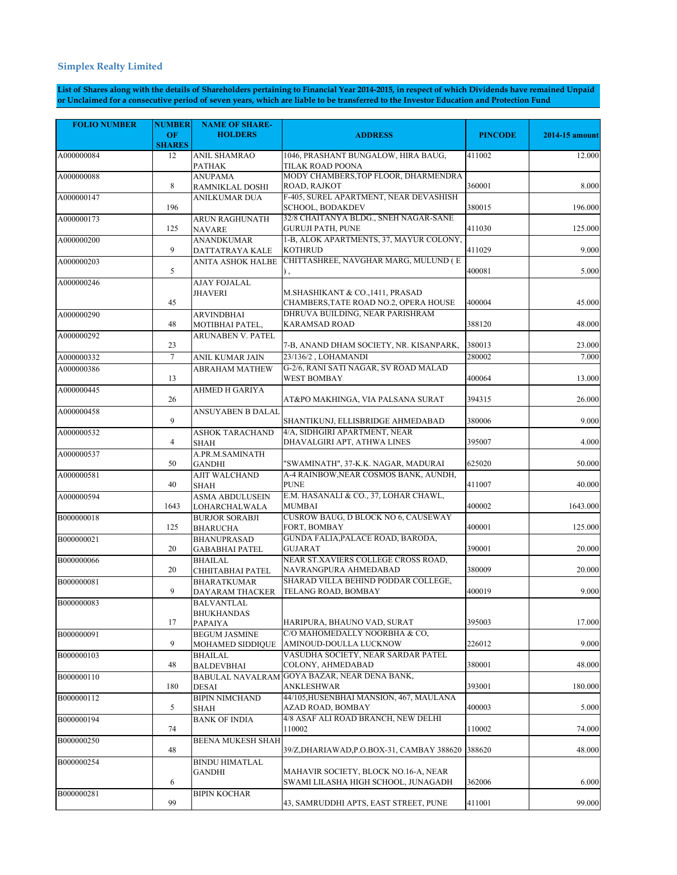## **Simplex Realty Limited**

**List of Shares along with the details of Shareholders pertaining to Financial Year 2014-2015, in respect of which Dividends have remained Unpaid or Unclaimed for a consecutive period of seven years, which are liable to be transferred to the Investor Education and Protection Fund** 

| <b>FOLIO NUMBER</b> | <b>NUMBER</b>       | <b>NAME OF SHARE-</b>                             |                                                                             |                |                |
|---------------------|---------------------|---------------------------------------------------|-----------------------------------------------------------------------------|----------------|----------------|
|                     | OF<br><b>SHARES</b> | <b>HOLDERS</b>                                    | <b>ADDRESS</b>                                                              | <b>PINCODE</b> | 2014-15 amount |
| A000000084          | 12                  | <b>ANIL SHAMRAO</b><br>PATHAK                     | 1046, PRASHANT BUNGALOW, HIRA BAUG,<br>TILAK ROAD POONA                     | 411002         | 12.000         |
| A000000088          | 8                   | <b>ANUPAMA</b><br>RAMNIKLAL DOSHI                 | MODY CHAMBERS, TOP FLOOR, DHARMENDRA<br>ROAD, RAJKOT                        | 360001         | 8.000          |
| A000000147          | 196                 | <b>ANILKUMAR DUA</b>                              | F-405, SUREL APARTMENT, NEAR DEVASHISH<br>SCHOOL, BODAKDEV                  | 380015         | 196.000        |
| A000000173          | 125                 | ARUN RAGHUNATH<br><b>NAVARE</b>                   | 32/8 CHAITANYA BLDG., SNEH NAGAR-SANE<br><b>GURUJI PATH, PUNE</b>           | 411030         | 125.000        |
| A000000200          | 9                   | ANANDKUMAR<br>DATTATRAYA KALE                     | 1-B, ALOK APARTMENTS, 37, MAYUR COLONY,<br><b>KOTHRUD</b>                   | 411029         | 9.000          |
| A000000203          | 5                   | <b>ANITA ASHOK HALBE</b>                          | CHITTASHREE, NAVGHAR MARG, MULUND (E                                        | 400081         | 5.000          |
| A000000246          | 45                  | AJAY FOJALAL<br><b>JHAVERI</b>                    | M.SHASHIKANT & CO., 1411, PRASAD<br>CHAMBERS, TATE ROAD NO.2, OPERA HOUSE   | 400004         | 45.000         |
| A000000290          | 48                  | ARVINDBHAI<br>MOTIBHAI PATEL,                     | DHRUVA BUILDING, NEAR PARISHRAM<br><b>KARAMSAD ROAD</b>                     | 388120         | 48.000         |
| A000000292          | 23                  | ARUNABEN V. PATEL                                 | 7-B, ANAND DHAM SOCIETY, NR. KISANPARK,                                     | 380013         | 23.000         |
| A000000332          | $\tau$              | ANIL KUMAR JAIN                                   | 23/136/2, LOHAMANDI                                                         | 280002         | 7.000          |
| A000000386          | 13                  | <b>ABRAHAM MATHEW</b>                             | G-2/6, RANI SATI NAGAR, SV ROAD MALAD<br><b>WEST BOMBAY</b>                 | 400064         | 13.000         |
| A000000445          | 26                  | AHMED H GARIYA                                    | AT&PO MAKHINGA, VIA PALSANA SURAT                                           | 394315         | 26.000         |
| A000000458          | 9                   | <b>ANSUYABEN B DALAL</b>                          | SHANTIKUNJ, ELLISBRIDGE AHMEDABAD                                           | 380006         | 9.000          |
| A000000532          | $\overline{4}$      | <b>ASHOK TARACHAND</b><br>SHAH                    | 4/A, SIDHGIRI APARTMENT, NEAR<br>DHAVALGIRI APT, ATHWA LINES                | 395007         | 4.000          |
| A000000537          | 50                  | A.PR.M.SAMINATH<br><b>GANDHI</b>                  | "SWAMINATH", 37-K.K. NAGAR, MADURAI                                         | 625020         | 50.000         |
| A000000581          | 40                  | AJIT WALCHAND<br><b>SHAH</b>                      | A-4 RAINBOW, NEAR COSMOS BANK, AUNDH,<br><b>PUNE</b>                        | 411007         | 40.000         |
| A000000594          | 1643                | <b>ASMA ABDULUSEIN</b><br><b>LOHARCHALWALA</b>    | E.M. HASANALI & CO., 37, LOHAR CHAWL,<br><b>MUMBAI</b>                      | 400002         | 1643.000       |
| B000000018          | 125                 | <b>BURJOR SORABJI</b><br><b>BHARUCHA</b>          | <b>CUSROW BAUG, D BLOCK NO 6, CAUSEWAY</b><br>FORT, BOMBAY                  | 400001         | 125.000        |
| B000000021          | 20                  | <b>BHANUPRASAD</b><br><b>GABABHAI PATEL</b>       | GUNDA FALIA, PALACE ROAD, BARODA,<br><b>GUJARAT</b>                         | 390001         | 20.000         |
| B000000066          | 20                  | <b>BHAILAL</b><br>CHHITABHAI PATEL                | NEAR ST.XAVIERS COLLEGE CROSS ROAD,<br>NAVRANGPURA AHMEDABAD                | 380009         | 20.000         |
| B000000081          | 9                   | <b>BHARATKUMAR</b><br>DAYARAM THACKER             | SHARAD VILLA BEHIND PODDAR COLLEGE,<br>TELANG ROAD, BOMBAY                  | 400019         | 9.000          |
| B000000083          | 17                  | <b>BALVANTLAL</b><br><b>BHUKHANDAS</b><br>PAPAIYA | HARIPURA, BHAUNO VAD, SURAT                                                 | 395003         | 17.000         |
| B000000091          | 9                   | <b>BEGUM JASMINE</b><br>MOHAMED SIDDIQUE          | C/O MAHOMEDALLY NOORBHA & CO.<br>AMINOUD-DOULLA LUCKNOW                     | 226012         | 9.000          |
| B000000103          | 48                  | <b>BHAILAL</b><br><b>BALDEVBHAI</b>               | VASUDHA SOCIETY, NEAR SARDAR PATEL<br>COLONY, AHMEDABAD                     | 380001         | 48.000         |
| B000000110          | 180                 | <b>DESAI</b>                                      | BABULAL NAVALRAM GOYA BAZAR, NEAR DENA BANK,<br><b>ANKLESHWAR</b>           | 393001         | 180.000        |
| B000000112          | 5                   | <b>BIPIN NIMCHAND</b><br>SHAH                     | 44/105, HUSENBHAI MANSION, 467, MAULANA<br>AZAD ROAD, BOMBAY                | 400003         | 5.000          |
| B000000194          | 74                  | <b>BANK OF INDIA</b>                              | 4/8 ASAF ALI ROAD BRANCH, NEW DELHI<br>110002                               | 110002         | 74.000         |
| B000000250          | 48                  | BEENA MUKESH SHAH                                 | 39/Z,DHARIAWAD,P.O.BOX-31, CAMBAY 388620                                    | 388620         | 48.000         |
| B000000254          | 6                   | <b>BINDU HIMATLAL</b><br><b>GANDHI</b>            | MAHAVIR SOCIETY, BLOCK NO.16-A, NEAR<br>SWAMI LILASHA HIGH SCHOOL, JUNAGADH | 362006         | 6.000          |
| B000000281          | 99                  | <b>BIPIN KOCHAR</b>                               | 43, SAMRUDDHI APTS, EAST STREET, PUNE                                       | 411001         | 99.000         |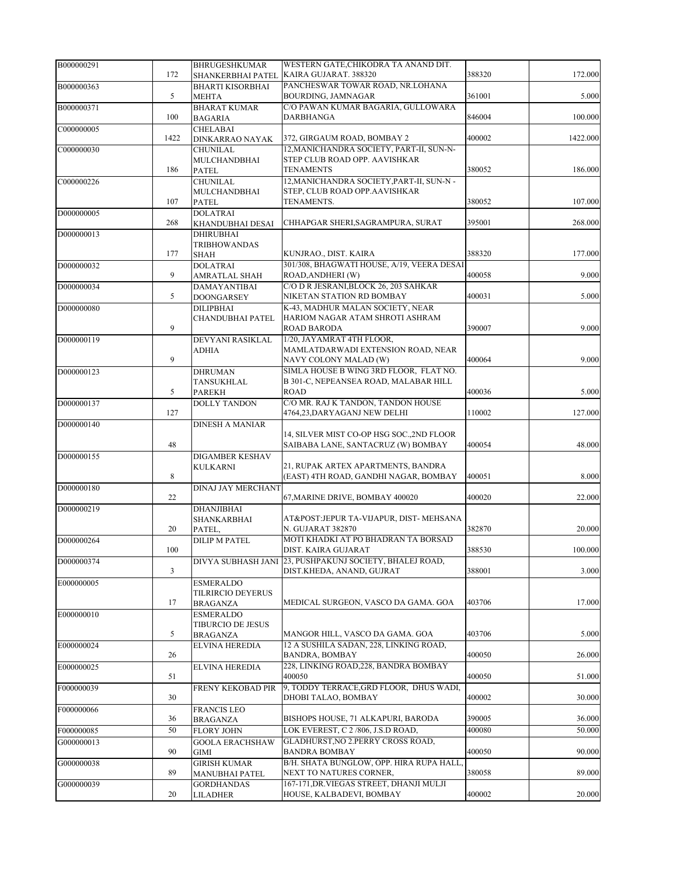| B000000291 |      | <b>BHRUGESHKUMAR</b>                    | WESTERN GATE, CHIKODRA TA ANAND DIT.                                      |        |          |
|------------|------|-----------------------------------------|---------------------------------------------------------------------------|--------|----------|
|            | 172  | SHANKERBHAI PATEL                       | KAIRA GUJARAT. 388320<br>PANCHESWAR TOWAR ROAD, NR.LOHANA                 | 388320 | 172.000  |
| B000000363 | 5    | <b>BHARTI KISORBHAI</b><br><b>MEHTA</b> | BOURDING, JAMNAGAR                                                        | 361001 | 5.000    |
| B000000371 |      | <b>BHARAT KUMAR</b>                     | C/O PAWAN KUMAR BAGARIA, GULLOWARA                                        |        |          |
|            | 100  | <b>BAGARIA</b>                          | DARBHANGA                                                                 | 846004 | 100.000  |
| C000000005 |      | <b>CHELABAI</b>                         |                                                                           |        |          |
|            | 1422 | DINKARRAO NAYAK                         | 372, GIRGAUM ROAD, BOMBAY 2<br>12, MANICHANDRA SOCIETY, PART-II, SUN-N-   | 400002 | 1422.000 |
| C000000030 |      | CHUNILAL<br>MULCHANDBHAI                | STEP CLUB ROAD OPP. AAVISHKAR                                             |        |          |
|            | 186  | PATEL                                   | <b>TENAMENTS</b>                                                          | 380052 | 186.000  |
| C000000226 |      | <b>CHUNILAL</b>                         | 12, MANICHANDRA SOCIETY, PART-II, SUN-N -                                 |        |          |
|            |      | MULCHANDBHAI                            | STEP, CLUB ROAD OPP.AAVISHKAR                                             |        |          |
|            | 107  | PATEL                                   | TENAMENTS.                                                                | 380052 | 107.000  |
| D000000005 |      | <b>DOLATRAI</b>                         |                                                                           |        |          |
|            | 268  | KHANDUBHAI DESAI                        | CHHAPGAR SHERI, SAGRAMPURA, SURAT                                         | 395001 | 268.000  |
| D000000013 |      | DHIRUBHAI                               |                                                                           |        |          |
|            | 177  | <b>TRIBHOWANDAS</b><br><b>SHAH</b>      | KUNJRAO., DIST. KAIRA                                                     | 388320 | 177.000  |
| D000000032 |      | <b>DOLATRAI</b>                         | 301/308, BHAGWATI HOUSE, A/19, VEERA DESAI                                |        |          |
|            | 9    | AMRATLAL SHAH                           | ROAD, ANDHERI (W)                                                         | 400058 | 9.000    |
| D000000034 |      | DAMAYANTIBAI                            | C/O D R JESRANI.BLOCK 26, 203 SAHKAR                                      |        |          |
|            | 5    | <b>DOONGARSEY</b>                       | NIKETAN STATION RD BOMBAY                                                 | 400031 | 5.000    |
| D000000080 |      | <b>DILIPBHAI</b>                        | K-43, MADHUR MALAN SOCIETY, NEAR                                          |        |          |
|            |      | CHANDUBHAI PATEL                        | HARIOM NAGAR ATAM SHROTI ASHRAM                                           |        |          |
|            | 9    |                                         | ROAD BARODA                                                               | 390007 | 9.000    |
| D000000119 |      | DEVYANI RASIKLAL                        | 1/20, JAYAMRAT 4TH FLOOR,<br>MAMLATDARWADI EXTENSION ROAD, NEAR           |        |          |
|            | 9    | ADHIA                                   | NAVY COLONY MALAD (W)                                                     | 400064 | 9.000    |
| D000000123 |      | <b>DHRUMAN</b>                          | SIMLA HOUSE B WING 3RD FLOOR, FLAT NO.                                    |        |          |
|            |      | TANSUKHLAL                              | B 301-C, NEPEANSEA ROAD, MALABAR HILL                                     |        |          |
|            | 5    | <b>PAREKH</b>                           | <b>ROAD</b>                                                               | 400036 | 5.000    |
| D000000137 |      | DOLLY TANDON                            | C/O MR. RAJ K TANDON, TANDON HOUSE                                        |        |          |
|            | 127  |                                         | 4764,23, DARY AGANJ NEW DELHI                                             | 110002 | 127.000  |
| D000000140 |      | <b>DINESH A MANIAR</b>                  |                                                                           |        |          |
|            |      |                                         | 14, SILVER MIST CO-OP HSG SOC., 2ND FLOOR                                 |        |          |
|            | 48   |                                         | SAIBABA LANE, SANTACRUZ (W) BOMBAY                                        | 400054 | 48.000   |
| D000000155 |      | DIGAMBER KESHAV<br><b>KULKARNI</b>      | 21, RUPAK ARTEX APARTMENTS, BANDRA                                        |        |          |
|            | 8    |                                         | (EAST) 4TH ROAD, GANDHI NAGAR, BOMBAY                                     | 400051 | 8.000    |
| D000000180 |      | <b>DINAJ JAY MERCHANT</b>               |                                                                           |        |          |
|            | 22   |                                         | 67, MARINE DRIVE, BOMBAY 400020                                           | 400020 | 22.000   |
| D000000219 |      | <b>DHANJIBHAI</b>                       |                                                                           |        |          |
|            |      | SHANKARBHAI                             | AT&POST:JEPUR TA-VIJAPUR, DIST- MEHSANA                                   |        |          |
|            | 20   | PATEL,                                  | N. GUJARAT 382870                                                         | 382870 | 20.000   |
| D000000264 | 100  | DILIP M PATEL                           | MOTI KHADKI AT PO BHADRAN TA BORSAD<br>DIST. KAIRA GUJARAT                | 388530 | 100.000  |
| D000000374 |      |                                         | DIVYA SUBHASH JANI 23, PUSHPAKUNJ SOCIETY, BHALEJ ROAD,                   |        |          |
|            | 3    |                                         | DIST.KHEDA, ANAND, GUJRAT                                                 | 388001 | 3.000    |
| E000000005 |      | <b>ESMERALDO</b>                        |                                                                           |        |          |
|            |      | TILRIRCIO DEYERUS                       |                                                                           |        |          |
|            | 17   | <b>BRAGANZA</b>                         | MEDICAL SURGEON, VASCO DA GAMA. GOA                                       | 403706 | 17.000   |
| E000000010 |      | <b>ESMERALDO</b>                        |                                                                           |        |          |
|            |      | TIBURCIO DE JESUS                       |                                                                           |        |          |
| E000000024 | 5    | BRAGANZA<br>ELVINA HEREDIA              | MANGOR HILL, VASCO DA GAMA. GOA<br>12 A SUSHILA SADAN, 228, LINKING ROAD, | 403706 | 5.000    |
|            | 26   |                                         | <b>BANDRA, BOMBAY</b>                                                     | 400050 | 26.000   |
| E000000025 |      | <b>ELVINA HEREDIA</b>                   | 228, LINKING ROAD, 228, BANDRA BOMBAY                                     |        |          |
|            | 51   |                                         | 400050                                                                    | 400050 | 51.000   |
| F000000039 |      | FRENY KEKOBAD PIR                       | 9, TODDY TERRACE, GRD FLOOR, DHUS WADI,                                   |        |          |
|            | 30   |                                         | DHOBI TALAO, BOMBAY                                                       | 400002 | 30.000   |
| F000000066 |      | <b>FRANCIS LEO</b>                      |                                                                           |        |          |
|            | 36   | <b>BRAGANZA</b>                         | BISHOPS HOUSE, 71 ALKAPURI, BARODA                                        | 390005 | 36.000   |
| F000000085 | 50   | <b>FLORY JOHN</b>                       | LOK EVEREST, C 2/806, J.S.D ROAD,                                         | 400080 | 50.000   |
| G000000013 |      | <b>GOOLA ERACHSHAW</b>                  | GLADHURST, NO 2.PERRY CROSS ROAD,                                         |        |          |
| G000000038 | 90   | GIMI<br><b>GIRISH KUMAR</b>             | <b>BANDRA BOMBAY</b><br>B/H. SHATA BUNGLOW, OPP. HIRA RUPA HALL.          | 400050 | 90.000   |
|            | 89   | MANUBHAI PATEL                          | NEXT TO NATURES CORNER,                                                   | 380058 | 89.000   |
| G000000039 |      | <b>GORDHANDAS</b>                       | 167-171, DR. VIEGAS STREET, DHANJI MULJI                                  |        |          |
|            | 20   | LILADHER                                | HOUSE, KALBADEVI, BOMBAY                                                  | 400002 | 20.000   |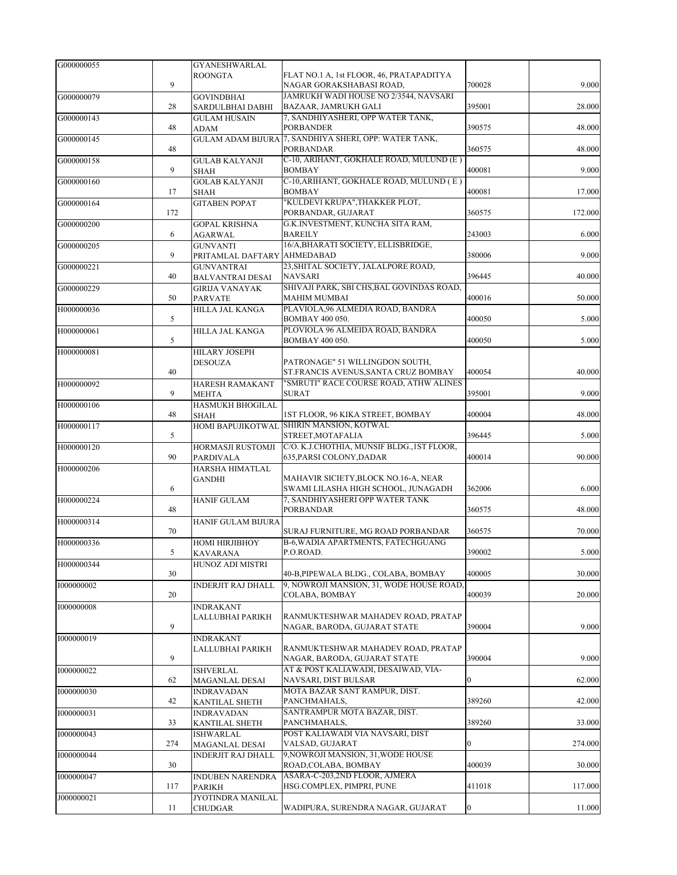| G000000055 |     | <b>GYANESHWARLAL</b>                         |                                                                               |                  |         |
|------------|-----|----------------------------------------------|-------------------------------------------------------------------------------|------------------|---------|
|            | 9   | <b>ROONGTA</b>                               | FLAT NO.1 A, 1st FLOOR, 46, PRATAPADITYA<br>NAGAR GORAKSHABASI ROAD,          | 700028           | 9.000   |
| G000000079 | 28  | GOVINDBHAI<br>SARDULBHAI DABHI               | JAMRUKH WADI HOUSE NO 2/3544, NAVSARI<br>BAZAAR, JAMRUKH GALI                 | 395001           | 28.000  |
| G000000143 | 48  | <b>GULAM HUSAIN</b><br>ADAM                  | 7, SANDHIYASHERI, OPP WATER TANK,<br><b>PORBANDER</b>                         | 390575           | 48.000  |
| G000000145 | 48  | <b>GULAM ADAM BIJURA</b>                     | 7, SANDHIYA SHERI, OPP: WATER TANK,<br><b>PORBANDAR</b>                       | 360575           | 48.000  |
| G000000158 | 9   | <b>GULAB KALYANJI</b><br><b>SHAH</b>         | C-10, ARIHANT, GOKHALE ROAD, MULUND (E)<br><b>BOMBAY</b>                      | 400081           | 9.000   |
| G000000160 |     | <b>GOLAB KALYANJI</b>                        | C-10, ARIHANT, GOKHALE ROAD, MULUND (E)                                       |                  |         |
| G000000164 | 17  | <b>SHAH</b><br><b>GITABEN POPAT</b>          | <b>BOMBAY</b><br>"KULDEVI KRUPA", THAKKER PLOT,                               | 400081           | 17.000  |
|            | 172 |                                              | PORBANDAR, GUJARAT                                                            | 360575           | 172.000 |
| G000000200 | 6   | <b>GOPAL KRISHNA</b><br>AGARWAL              | G.K.INVESTMENT, KUNCHA SITA RAM,<br><b>BAREILY</b>                            | 243003           | 6.000   |
| G000000205 | 9   | <b>GUNVANTI</b><br>PRITAMLAL DAFTARY         | 16/A, BHARATI SOCIETY, ELLISBRIDGE,<br><b>AHMEDABAD</b>                       | 380006           | 9.000   |
| G000000221 | 40  | <b>GUNVANTRAI</b><br><b>BALVANTRAI DESAI</b> | 23, SHITAL SOCIETY, JALALPORE ROAD,<br><b>NAVSARI</b>                         | 396445           | 40.000  |
| G000000229 | 50  | GIRIJA VANAYAK<br><b>PARVATE</b>             | SHIVAJI PARK, SBI CHS, BAL GOVINDAS ROAD,<br><b>MAHIM MUMBAI</b>              | 400016           | 50.000  |
| H000000036 |     | HILLA JAL KANGA                              | PLAVIOLA, 96 ALMEDIA ROAD, BANDRA                                             |                  |         |
| H000000061 | 5   | HILLA JAL KANGA                              | BOMBAY 400 050.<br>PLOVIOLA 96 ALMEIDA ROAD, BANDRA                           | 400050           | 5.000   |
|            | 5   |                                              | BOMBAY 400 050.                                                               | 400050           | 5.000   |
| H000000081 | 40  | HILARY JOSEPH<br><b>DESOUZA</b>              | PATRONAGE" 51 WILLINGDON SOUTH,<br>ST.FRANCIS AVENUS, SANTA CRUZ BOMBAY       | 400054           | 40.000  |
| H000000092 | 9   | HARESH RAMAKANT<br><b>MEHTA</b>              | "SMRUTI" RACE COURSE ROAD, ATHW ALINES<br><b>SURAT</b>                        | 395001           | 9.000   |
| H000000106 |     | <b>HASMUKH BHOGILAL</b>                      |                                                                               |                  |         |
| H000000117 | 48  | <b>SHAH</b>                                  | 1ST FLOOR, 96 KIKA STREET, BOMBAY<br>HOMI BAPUJIKOTWAL SHIRIN MANSION, KOTWAL | 400004           | 48.000  |
|            | 5   |                                              | STREET, MOTAFALIA                                                             | 396445           | 5.000   |
| H000000120 | 90  | HORMASJI RUSTOMJI<br><b>PARDIVALA</b>        | C/O. K.J.CHOTHIA, MUNSIF BLDG., 1ST FLOOR,<br>635, PARSI COLONY, DADAR        | 400014           | 90.000  |
| H000000206 |     | HARSHA HIMATLAL<br><b>GANDHI</b>             | MAHAVIR SICIETY, BLOCK NO.16-A, NEAR                                          |                  |         |
|            | 6   |                                              | SWAMI LILASHA HIGH SCHOOL, JUNAGADH                                           | 362006           | 6.000   |
| H000000224 | 48  | <b>HANIF GULAM</b>                           | 7, SANDHIYASHERI OPP WATER TANK<br><b>PORBANDAR</b>                           | 360575           | 48.000  |
| H000000314 | 70  | HANIF GULAM BIJURA                           | SURAJ FURNITURE, MG ROAD PORBANDAR                                            | 360575           | 70.000  |
| H000000336 | 5   | <b>НОМІ НІВЛІВНО</b> У<br><b>KAVARANA</b>    | B-6, WADIA APARTMENTS, FATECHGUANG<br>P.O.ROAD.                               | 390002           | 5.000   |
| H000000344 | 30  | HUNOZ ADI MISTRI                             | 40-B, PIPEWALA BLDG., COLABA, BOMBAY                                          | 400005           | 30.000  |
| 1000000002 |     | <b>INDERJIT RAJ DHALL</b>                    | 9, NOWROJI MANSION, 31, WODE HOUSE ROAD,                                      |                  |         |
| 1000000008 | 20  | <b>INDRAKANT</b>                             | COLABA, BOMBAY                                                                | 400039           | 20.000  |
|            | 9   | LALLUBHAI PARIKH                             | RANMUKTESHWAR MAHADEV ROAD, PRATAP<br>NAGAR, BARODA, GUJARAT STATE            | 390004           | 9.000   |
| 1000000019 |     | <b>INDRAKANT</b>                             |                                                                               |                  |         |
|            | 9   | LALLUBHAI PARIKH                             | RANMUKTESHWAR MAHADEV ROAD, PRATAP<br>NAGAR, BARODA, GUJARAT STATE            | 390004           | 9.000   |
| 1000000022 | 62  | <b>ISHVERLAL</b><br>MAGANLAL DESAI           | AT & POST KALIAWADI, DESAIWAD, VIA-<br>NAVSARI, DIST BULSAR                   | $\boldsymbol{0}$ | 62.000  |
| 1000000030 | 42  | <b>INDRAVADAN</b><br>KANTILAL SHETH          | MOTA BAZAR SANT RAMPUR, DIST.<br>PANCHMAHALS,                                 | 389260           | 42.000  |
| 1000000031 | 33  | <b>INDRAVADAN</b><br>KANTILAL SHETH          | SANTRAMPUR MOTA BAZAR, DIST.<br>PANCHMAHALS,                                  | 389260           | 33.000  |
| 1000000043 | 274 | ISHWARLAL                                    | POST KALIAWADI VIA NAVSARI, DIST<br>VALSAD, GUJARAT                           | 0                | 274.000 |
| 1000000044 |     | MAGANLAL DESAI<br>INDERJIT RAJ DHALL         | 9, NOWROJI MANSION, 31, WODE HOUSE                                            |                  |         |
| 1000000047 | 30  | <b>INDUBEN NARENDRA</b>                      | ROAD, COLABA, BOMBAY<br>ASARA-C-203,2ND FLOOR, AJMERA                         | 400039           | 30.000  |
|            | 117 | PARIKH                                       | HSG.COMPLEX, PIMPRI, PUNE                                                     | 411018           | 117.000 |
| J000000021 | 11  | JYOTINDRA MANILAL<br>CHUDGAR                 | WADIPURA, SURENDRA NAGAR, GUJARAT                                             | $\boldsymbol{0}$ | 11.000  |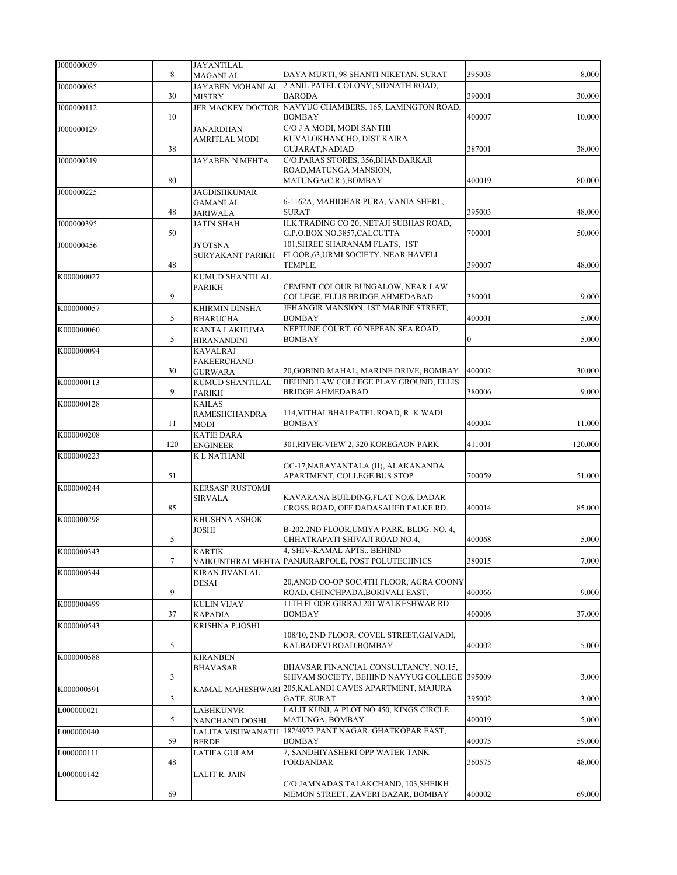| J000000039 |        | <b>JAYANTILAL</b>                        |                                                                            |                |         |
|------------|--------|------------------------------------------|----------------------------------------------------------------------------|----------------|---------|
|            | 8      | <b>MAGANLAL</b>                          | DAYA MURTI, 98 SHANTI NIKETAN, SURAT                                       | 395003         | 8.000   |
| J000000085 |        | JAYABEN MOHANLAL                         | 2 ANIL PATEL COLONY, SIDNATH ROAD,                                         |                |         |
|            | 30     | <b>MISTRY</b>                            | <b>BARODA</b>                                                              | 390001         | 30.000  |
| J000000112 |        | <b>JER MACKEY DOCTOR</b>                 | NAVYUG CHAMBERS. 165, LAMINGTON ROAD,                                      |                |         |
|            | 10     |                                          | <b>BOMBAY</b>                                                              | 400007         | 10.000  |
| J000000129 |        | <b>JANARDHAN</b><br><b>AMRITLAL MODI</b> | C/O J A MODI, MODI SANTHI<br>KUVALOKHANCHO, DIST KAIRA                     |                |         |
|            | 38     |                                          | GUJARAT, NADIAD                                                            | 387001         | 38.000  |
| J000000219 |        | <b>JAYABEN N MEHTA</b>                   | C/O.PARAS STORES, 356, BHANDARKAR                                          |                |         |
|            |        |                                          | ROAD, MATUNGA MANSION,                                                     |                |         |
|            | 80     |                                          | MATUNGA(C.R.), BOMBAY                                                      | 400019         | 80.000  |
| J000000225 |        | <b>JAGDISHKUMAR</b>                      |                                                                            |                |         |
|            | 48     | <b>GAMANLAL</b><br><b>JARIWALA</b>       | 6-1162A, MAHIDHAR PURA, VANIA SHERI,<br><b>SURAT</b>                       | 395003         | 48.000  |
| J000000395 |        | <b>JATIN SHAH</b>                        | H.K.TRADING CO 20, NETAJI SUBHAS ROAD,                                     |                |         |
|            | 50     |                                          | G.P.O.BOX NO.3857,CALCUTTA                                                 | 700001         | 50.000  |
| J000000456 |        | <b>JYOTSNA</b>                           | 101, SHREE SHARANAM FLATS, 1ST                                             |                |         |
|            |        | SURYAKANT PARIKH                         | FLOOR, 63, URMI SOCIETY, NEAR HAVELI                                       |                |         |
|            | 48     |                                          | TEMPLE,                                                                    | 390007         | 48.000  |
| K000000027 |        | <b>KUMUD SHANTILAL</b>                   | CEMENT COLOUR BUNGALOW, NEAR LAW                                           |                |         |
|            | 9      | <b>PARIKH</b>                            | COLLEGE, ELLIS BRIDGE AHMEDABAD                                            | 380001         | 9.000   |
| K000000057 |        | <b>KHIRMIN DINSHA</b>                    | JEHANGIR MANSION, 1ST MARINE STREET,                                       |                |         |
|            | 5      | <b>BHARUCHA</b>                          | <b>BOMBAY</b>                                                              | 400001         | 5.000   |
| K000000060 |        | KANTA LAKHUMA                            | NEPTUNE COURT, 60 NEPEAN SEA ROAD,                                         |                |         |
|            | 5      | <b>HIRANANDINI</b>                       | <b>BOMBAY</b>                                                              | $\overline{0}$ | 5.000   |
| K000000094 |        | <b>KAVALRAJ</b>                          |                                                                            |                |         |
|            | 30     | <b>FAKEERCHAND</b><br><b>GURWARA</b>     | 20, GOBIND MAHAL, MARINE DRIVE, BOMBAY                                     | 400002         | 30.000  |
| K000000113 |        | KUMUD SHANTILAL                          | BEHIND LAW COLLEGE PLAY GROUND, ELLIS                                      |                |         |
|            | 9      | <b>PARIKH</b>                            | BRIDGE AHMEDABAD.                                                          | 380006         | 9.000   |
| K000000128 |        | <b>KAILAS</b>                            |                                                                            |                |         |
|            |        | <b>RAMESHCHANDRA</b>                     | 114, VITHALBHAI PATEL ROAD, R. K WADI                                      |                |         |
|            | 11     | MODI<br><b>KATIE DARA</b>                | <b>BOMBAY</b>                                                              | 400004         | 11.000  |
| K000000208 | 120    | <b>ENGINEER</b>                          | 301,RIVER-VIEW 2, 320 KOREGAON PARK                                        | 411001         | 120.000 |
| K000000223 |        | K L NATHANI                              |                                                                            |                |         |
|            |        |                                          | GC-17, NARAYANTALA (H), ALAKANANDA                                         |                |         |
|            | 51     |                                          | APARTMENT, COLLEGE BUS STOP                                                | 700059         | 51.000  |
| K000000244 |        | <b>KERSASP RUSTOMJI</b>                  | KAVARANA BUILDING,FLAT NO.6, DADAR                                         |                |         |
|            | 85     | <b>SIRVALA</b>                           | CROSS ROAD, OFF DADASAHEB FALKE RD.                                        | 400014         | 85.000  |
| K000000298 |        | KHUSHNA ASHOK                            |                                                                            |                |         |
|            |        | <b>JOSHI</b>                             | B-202,2ND FLOOR, UMIYA PARK, BLDG. NO. 4,                                  |                |         |
|            | 5      |                                          | CHHATRAPATI SHIVAJI ROAD NO.4,                                             | 400068         | 5.000   |
| K000000343 |        | <b>KARTIK</b>                            | 4, SHIV-KAMAL APTS., BEHIND                                                |                |         |
|            | $\tau$ |                                          | VAIKUNTHRAI MEHTA PANJURARPOLE, POST POLUTECHNICS                          | 380015         | 7.000   |
| K000000344 |        | <b>KIRAN JIVANLAL</b><br><b>DESAI</b>    | 20, ANOD CO-OP SOC, 4TH FLOOR, AGRA COONY                                  |                |         |
|            | 9      |                                          | ROAD, CHINCHPADA, BORIVALI EAST,                                           | 400066         | 9.000   |
| K000000499 |        | <b>KULIN VIJAY</b>                       | 11TH FLOOR GIRRAJ 201 WALKESHWAR RD                                        |                |         |
|            | 37     | <b>KAPADIA</b>                           | <b>BOMBAY</b>                                                              | 400006         | 37.000  |
| K000000543 |        | KRISHNA P.JOSHI                          |                                                                            |                |         |
|            | 5      |                                          | 108/10, 2ND FLOOR, COVEL STREET, GAIVADI,<br>KALBADEVI ROAD, BOMBAY        | 400002         | 5.000   |
| K000000588 |        | <b>KIRANBEN</b>                          |                                                                            |                |         |
|            |        | <b>BHAVASAR</b>                          | BHAVSAR FINANCIAL CONSULTANCY, NO.15,                                      |                |         |
|            | 3      |                                          | SHIVAM SOCIETY, BEHIND NAVYUG COLLEGE 395009                               |                | 3.000   |
| K000000591 |        |                                          | KAMAL MAHESHWARI 205, KALANDI CAVES APARTMENT, MAJURA                      |                |         |
|            | 3      |                                          | <b>GATE, SURAT</b>                                                         | 395002         | 3.000   |
| L000000021 | 5      | <b>LABHKUNVR</b>                         | LALIT KUNJ, A PLOT NO.450, KINGS CIRCLE                                    | 400019         | 5.000   |
| L000000040 |        | NANCHAND DOSHI                           | MATUNGA, BOMBAY<br>LALITA VISHWANATH 182/4972 PANT NAGAR, GHATKOPAR EAST,  |                |         |
|            | 59     | <b>BERDE</b>                             | <b>BOMBAY</b>                                                              | 400075         | 59.000  |
| L000000111 |        | LATIFA GULAM                             | 7, SANDHIYASHERI OPP WATER TANK                                            |                |         |
|            | 48     |                                          | PORBANDAR                                                                  | 360575         | 48.000  |
| L000000142 |        | <b>LALIT R. JAIN</b>                     |                                                                            |                |         |
|            | 69     |                                          | C/O JAMNADAS TALAKCHAND, 103, SHEIKH<br>MEMON STREET, ZAVERI BAZAR, BOMBAY | 400002         | 69.000  |
|            |        |                                          |                                                                            |                |         |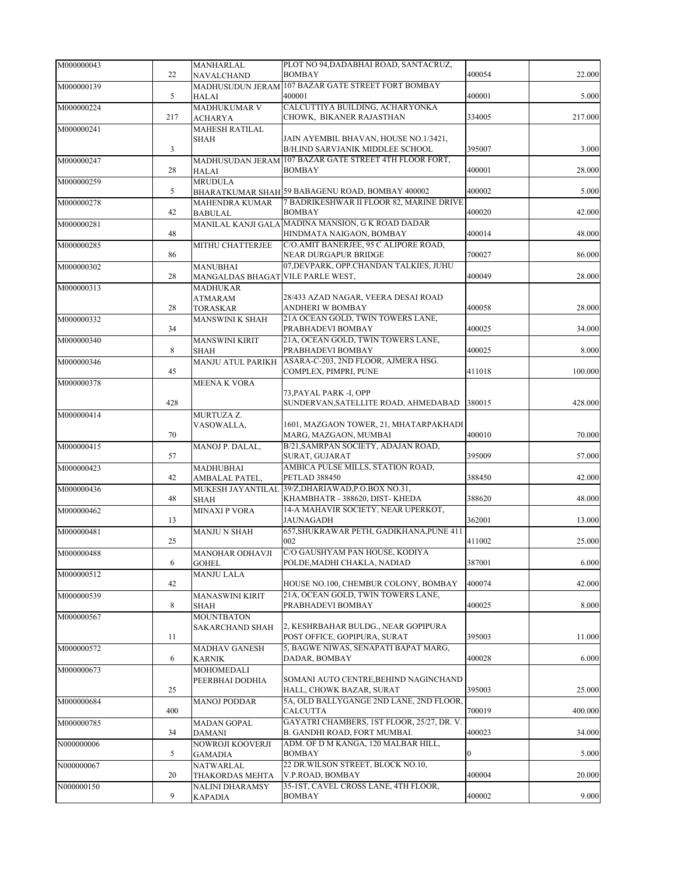| M000000043 |     | MANHARLAL                         | PLOT NO 94, DADABHAI ROAD, SANTACRUZ,                  |        |         |
|------------|-----|-----------------------------------|--------------------------------------------------------|--------|---------|
|            | 22  | NAVALCHAND                        | <b>BOMBAY</b>                                          | 400054 | 22.000  |
| M000000139 |     | MADHUSUDUN JERAM                  | 107 BAZAR GATE STREET FORT BOMBAY                      |        |         |
|            | 5   | <b>HALAI</b>                      | 400001                                                 | 400001 | 5.000   |
| M000000224 |     | <b>MADHUKUMAR V</b>               | CALCUTTIYA BUILDING, ACHARYONKA                        |        |         |
|            | 217 | <b>ACHARYA</b>                    | CHOWK, BIKANER RAJASTHAN                               | 334005 | 217.000 |
| M000000241 |     | <b>MAHESH RATILAL</b>             |                                                        |        |         |
|            |     | <b>SHAH</b>                       | JAIN AYEMBIL BHAVAN, HOUSE NO.1/3421,                  |        |         |
|            | 3   |                                   | B/H.IND SARVJANIK MIDDLEE SCHOOL                       | 395007 | 3.000   |
| M000000247 |     |                                   | MADHUSUDAN JERAM 107 BAZAR GATE STREET 4TH FLOOR FORT, |        |         |
|            | 28  | <b>HALAI</b>                      | <b>BOMBAY</b>                                          | 400001 | 28.000  |
| M000000259 |     | <b>MRUDULA</b>                    |                                                        |        |         |
|            | 5   |                                   | BHARATKUMAR SHAH 59 BABAGENU ROAD, BOMBAY 400002       | 400002 | 5.000   |
| M000000278 |     | MAHENDRA KUMAR                    | 7 BADRIKESHWAR II FLOOR 82. MARINE DRIVE               |        |         |
|            | 42  | <b>BABULAL</b>                    | <b>BOMBAY</b>                                          | 400020 | 42.000  |
| M000000281 |     |                                   | MANILAL KANJI GALA MADINA MANSION, G K ROAD DADAR      |        |         |
|            | 48  |                                   | HINDMATA NAIGAON, BOMBAY                               | 400014 | 48.000  |
| M000000285 |     | MITHU CHATTERJEE                  | C/O.AMIT BANERJEE, 95 C ALIPORE ROAD,                  |        |         |
|            | 86  |                                   | NEAR DURGAPUR BRIDGE                                   | 700027 | 86.000  |
| M000000302 |     | <b>MANUBHAI</b>                   | 07, DEVPARK, OPP. CHANDAN TALKIES, JUHU                |        |         |
|            | 28  | MANGALDAS BHAGAT VILE PARLE WEST, |                                                        | 400049 | 28.000  |
| M000000313 |     |                                   |                                                        |        |         |
|            |     | <b>MADHUKAR</b><br><b>ATMARAM</b> | 28/433 AZAD NAGAR, VEERA DESAI ROAD                    |        |         |
|            | 28  | <b>TORASKAR</b>                   | ANDHERI W BOMBAY                                       | 400058 | 28.000  |
| M000000332 |     | MANSWINI K SHAH                   | 21A OCEAN GOLD, TWIN TOWERS LANE,                      |        |         |
|            | 34  |                                   | PRABHADEVI BOMBAY                                      | 400025 | 34.000  |
| M000000340 |     | <b>MANSWINI KIRIT</b>             | 21A, OCEAN GOLD, TWIN TOWERS LANE,                     |        |         |
|            | 8   | <b>SHAH</b>                       | PRABHADEVI BOMBAY                                      | 400025 | 8.000   |
| M000000346 |     | <b>MANJU ATUL PARIKH</b>          | ASARA-C-203, 2ND FLOOR, AJMERA HSG.                    |        |         |
|            | 45  |                                   | COMPLEX, PIMPRI, PUNE                                  | 411018 | 100.000 |
|            |     |                                   |                                                        |        |         |
| M000000378 |     | <b>MEENA K VORA</b>               | 73, PAYAL PARK -I, OPP                                 |        |         |
|            | 428 |                                   | SUNDERVAN, SATELLITE ROAD, AHMEDABAD                   | 380015 | 428.000 |
| M000000414 |     | MURTUZA Z.                        |                                                        |        |         |
|            |     | VASOWALLA,                        | 1601, MAZGAON TOWER, 21, MHATARPAKHADI                 |        |         |
|            | 70  |                                   | MARG, MAZGAON, MUMBAI                                  | 400010 | 70.000  |
| M000000415 |     | MANOJ P. DALAL,                   | B/21, SAMRPAN SOCIETY, ADAJAN ROAD,                    |        |         |
|            | 57  |                                   | SURAT, GUJARAT                                         | 395009 | 57.000  |
| M000000423 |     | <b>MADHUBHAI</b>                  | AMBICA PULSE MILLS, STATION ROAD,                      |        |         |
|            | 42  | AMBALAL PATEL,                    | <b>PETLAD 388450</b>                                   | 388450 | 42.000  |
| M000000436 |     |                                   | MUKESH JAYANTILAL 39/Z, DHARIAWAD, P.O.BOX NO.31,      |        |         |
|            | 48  | <b>SHAH</b>                       | KHAMBHATR - 388620, DIST-KHEDA                         | 388620 | 48.000  |
| M000000462 |     | <b>MINAXI P VORA</b>              | 14-A MAHAVIR SOCIETY, NEAR UPERKOT,                    |        |         |
|            | 13  |                                   | <b>JAUNAGADH</b>                                       | 362001 | 13.000  |
| M000000481 |     | <b>MANJU N SHAH</b>               | 657, SHUKRAWAR PETH, GADIKHANA, PUNE 411               |        |         |
|            | 25  |                                   | 002                                                    | 411002 | 25.000  |
| M000000488 |     | MANOHAR ODHAVJI                   | C/O GAUSHYAM PAN HOUSE, KODIYA                         |        |         |
|            | 6   | <b>GOHEL</b>                      | POLDE, MADHI CHAKLA, NADIAD                            | 387001 | 6.000   |
| M000000512 |     | <b>MANJU LALA</b>                 |                                                        |        |         |
|            | 42  |                                   | HOUSE NO.100, CHEMBUR COLONY, BOMBAY                   | 400074 | 42.000  |
| M000000539 |     | <b>MANASWINI KIRIT</b>            | 21A, OCEAN GOLD, TWIN TOWERS LANE,                     |        |         |
|            | 8   | SHAH                              | PRABHADEVI BOMBAY                                      | 400025 | 8.000   |
| M000000567 |     | <b>MOUNTBATON</b>                 |                                                        |        |         |
|            |     | <b>SAKARCHAND SHAH</b>            | 2, KESHRBAHAR BULDG., NEAR GOPIPURA                    |        |         |
|            | 11  |                                   | POST OFFICE, GOPIPURA, SURAT                           | 395003 | 11.000  |
| M000000572 |     | <b>MADHAV GANESH</b>              | 5, BAGWE NIWAS, SENAPATI BAPAT MARG,                   |        |         |
|            | 6   | <b>KARNIK</b>                     | DADAR, BOMBAY                                          | 400028 | 6.000   |
| M000000673 |     | <b>MOHOMEDALI</b>                 |                                                        |        |         |
|            |     | PEERBHAI DODHIA                   | SOMANI AUTO CENTRE, BEHIND NAGINCHAND                  |        |         |
|            | 25  |                                   | HALL, CHOWK BAZAR, SURAT                               | 395003 | 25.000  |
| M000000684 |     | <b>MANOJ PODDAR</b>               | 5A, OLD BALLYGANGE 2ND LANE, 2ND FLOOR,                |        |         |
|            | 400 |                                   | <b>CALCUTTA</b>                                        | 700019 | 400.000 |
| M000000785 |     | <b>MADAN GOPAL</b>                | GAYATRI CHAMBERS, 1ST FLOOR, 25/27, DR. V.             |        |         |
|            | 34  | DAMANI                            | B. GANDHI ROAD, FORT MUMBAI.                           | 400023 | 34.000  |
| N000000006 |     | NOWROJI KOOVERJI                  | ADM. OF D M KANGA, 120 MALBAR HILL,                    |        |         |
|            | 5   | GAMADIA                           | <b>BOMBAY</b>                                          | 0      | 5.000   |
| N000000067 |     | NATWARLAL                         | 22 DR.WILSON STREET, BLOCK NO.10,                      |        |         |
|            | 20  | THAKORDAS MEHTA                   | V.P.ROAD, BOMBAY                                       | 400004 | 20.000  |
| N000000150 |     | NALINI DHARAMSY                   | 35-1ST, CAVEL CROSS LANE, 4TH FLOOR,                   |        |         |
|            | 9   | <b>KAPADIA</b>                    | <b>BOMBAY</b>                                          | 400002 | 9.000   |
|            |     |                                   |                                                        |        |         |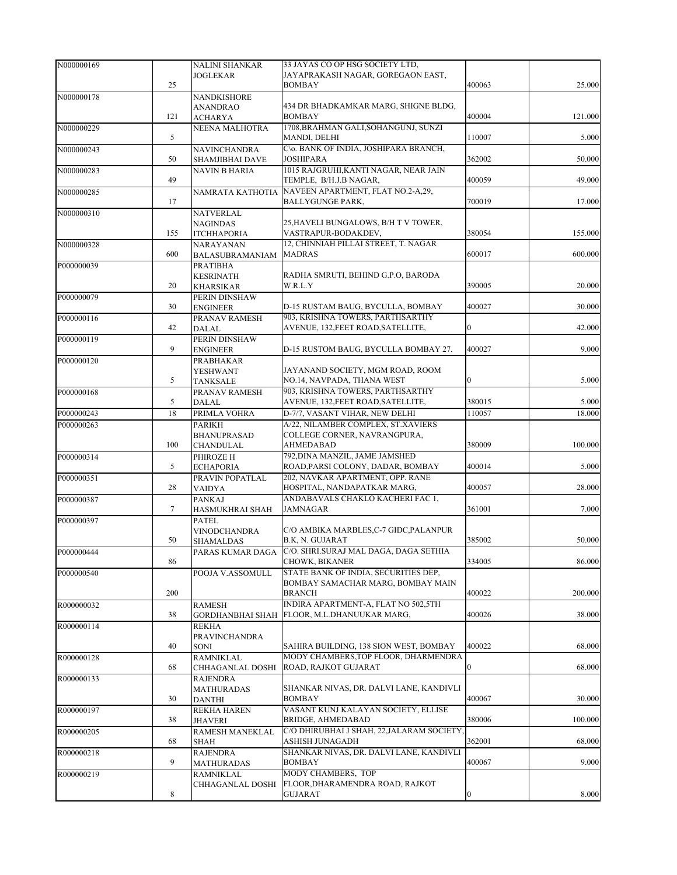| N000000169 |        | <b>NALINI SHANKAR</b>   | 33 JAYAS CO OP HSG SOCIETY LTD,                          |                  |         |
|------------|--------|-------------------------|----------------------------------------------------------|------------------|---------|
|            |        | <b>JOGLEKAR</b>         | JAYAPRAKASH NAGAR, GOREGAON EAST,                        |                  |         |
|            | 25     |                         | <b>BOMBAY</b>                                            | 400063           | 25.000  |
| N000000178 |        | <b>NANDKISHORE</b>      |                                                          |                  |         |
|            |        | <b>ANANDRAO</b>         | 434 DR BHADKAMKAR MARG, SHIGNE BLDG,                     |                  |         |
|            | 121    | <b>ACHARYA</b>          | <b>BOMBAY</b>                                            | 400004           | 121.000 |
| N000000229 |        | NEENA MALHOTRA          | 1708, BRAHMAN GALI, SOHANGUNJ, SUNZI                     |                  |         |
|            | 5      |                         | MANDI, DELHI                                             | 110007           | 5.000   |
| N000000243 |        | <b>NAVINCHANDRA</b>     | C\o. BANK OF INDIA, JOSHIPARA BRANCH,                    |                  |         |
|            | 50     | SHAMJIBHAI DAVE         | <b>JOSHIPARA</b>                                         | 362002           | 50.000  |
| N000000283 |        | NAVIN B HARIA           | 1015 RAJGRUHI, KANTI NAGAR, NEAR JAIN                    |                  |         |
|            | 49     |                         | TEMPLE, B/H.J.B NAGAR,                                   | 400059           | 49.000  |
| N000000285 |        | NAMRATA KATHOTIA        | NAVEEN APARTMENT, FLAT NO.2-A,29,                        |                  |         |
|            | 17     |                         | <b>BALLYGUNGE PARK,</b>                                  | 700019           | 17.000  |
| N000000310 |        | <b>NATVERLAL</b>        |                                                          |                  |         |
|            |        | <b>NAGINDAS</b>         | 25, HAVELI BUNGALOWS, B/H T V TOWER,                     |                  |         |
|            | 155    | <b>ITCHHAPORIA</b>      | VASTRAPUR-BODAKDEV,                                      | 380054           | 155.000 |
| N000000328 |        | NARAYANAN               | 12, CHINNIAH PILLAI STREET, T. NAGAR                     |                  |         |
|            | 600    | <b>BALASUBRAMANIAM</b>  | <b>MADRAS</b>                                            | 600017           | 600.000 |
| P000000039 |        | PRATIBHA                |                                                          |                  |         |
|            |        | <b>KESRINATH</b>        | RADHA SMRUTI, BEHIND G.P.O, BARODA                       |                  |         |
|            | 20     | <b>KHARSIKAR</b>        | W.R.L.Y                                                  | 390005           | 20.000  |
| P000000079 |        | PERIN DINSHAW           |                                                          |                  |         |
|            | 30     | <b>ENGINEER</b>         | D-15 RUSTAM BAUG, BYCULLA, BOMBAY                        | 400027           | 30.000  |
| P000000116 |        | PRANAV RAMESH           | 903, KRISHNA TOWERS, PARTHSARTHY                         |                  |         |
|            | 42     | <b>DALAL</b>            | AVENUE, 132,FEET ROAD,SATELLITE,                         | $\mathbf{0}$     | 42.000  |
| P000000119 |        | PERIN DINSHAW           |                                                          |                  |         |
|            | 9      | <b>ENGINEER</b>         | D-15 RUSTOM BAUG, BYCULLA BOMBAY 27.                     | 400027           | 9.000   |
| P000000120 |        | PRABHAKAR               |                                                          |                  |         |
|            |        | YESHWANT                | JAYANAND SOCIETY, MGM ROAD, ROOM                         |                  |         |
|            | 5      | <b>TANKSALE</b>         | NO.14, NAVPADA, THANA WEST                               | $\mathbf{0}$     | 5.000   |
| P000000168 |        | PRANAV RAMESH           | 903, KRISHNA TOWERS, PARTHSARTHY                         |                  |         |
|            | 5      | <b>DALAL</b>            | AVENUE, 132, FEET ROAD, SATELLITE,                       | 380015           | 5.000   |
| P000000243 | 18     | PRIMLA VOHRA            | D-7/7, VASANT VIHAR, NEW DELHI                           | 110057           | 18.000  |
| P000000263 |        | <b>PARIKH</b>           | A/22, NILAMBER COMPLEX, ST.XAVIERS                       |                  |         |
|            |        | <b>BHANUPRASAD</b>      | COLLEGE CORNER, NAVRANGPURA,                             |                  |         |
|            | 100    | <b>CHANDULAL</b>        | <b>AHMEDABAD</b>                                         | 380009           | 100.000 |
| P000000314 |        | PHIROZE H               | 792, DINA MANZIL, JAME JAMSHED                           |                  |         |
|            | 5      | <b>ECHAPORIA</b>        | ROAD, PARSI COLONY, DADAR, BOMBAY                        | 400014           | 5.000   |
| P000000351 |        | PRAVIN POPATLAL         | 202, NAVKAR APARTMENT, OPP. RANE                         |                  |         |
|            | 28     | <b>VAIDYA</b>           | HOSPITAL, NANDAPATKAR MARG,                              | 400057           | 28.000  |
| P000000387 |        | <b>PANKAJ</b>           | ANDABAVALS CHAKLO KACHERI FAC 1,                         |                  |         |
|            | $\tau$ | <b>HASMUKHRAI SHAH</b>  | <b>JAMNAGAR</b>                                          | 361001           | 7.000   |
| P000000397 |        | <b>PATEL</b>            |                                                          |                  |         |
|            |        | <b>VINODCHANDRA</b>     | C/O AMBIKA MARBLES, C-7 GIDC, PALANPUR                   |                  |         |
|            | 50     | SHAMALDAS               | B.K, N. GUJARAT                                          | 385002           | 50.000  |
| P000000444 |        |                         | PARAS KUMAR DAGA   C/O. SHRI.SURAJ MAL DAGA, DAGA SETHIA |                  |         |
|            | 86     |                         | CHOWK, BIKANER                                           | 334005           | 86.000  |
| P000000540 |        | POOJA V.ASSOMULL        | STATE BANK OF INDIA, SECURITIES DEP,                     |                  |         |
|            |        |                         | BOMBAY SAMACHAR MARG, BOMBAY MAIN                        |                  |         |
|            | 200    |                         | <b>BRANCH</b>                                            | 400022           | 200.000 |
| R000000032 |        | <b>RAMESH</b>           | INDIRA APARTMENT-A, FLAT NO 502,5TH                      |                  |         |
|            | 38     | <b>GORDHANBHAI SHAH</b> | FLOOR, M.L.DHANUUKAR MARG,                               | 400026           | 38.000  |
| R000000114 |        | REKHA                   |                                                          |                  |         |
|            |        | <b>PRAVINCHANDRA</b>    |                                                          |                  |         |
|            | 40     | SONI                    | SAHIRA BUILDING, 138 SION WEST, BOMBAY                   | 400022           | 68.000  |
| R000000128 |        | RAMNIKLAL               | MODY CHAMBERS, TOP FLOOR, DHARMENDRA                     |                  |         |
|            | 68     | CHHAGANLAL DOSHI        | ROAD, RAJKOT GUJARAT                                     | $\boldsymbol{0}$ | 68.000  |
| R000000133 |        | <b>RAJENDRA</b>         |                                                          |                  |         |
|            |        | <b>MATHURADAS</b>       | SHANKAR NIVAS, DR. DALVI LANE, KANDIVLI                  |                  |         |
|            | 30     | <b>DANTHI</b>           | <b>BOMBAY</b>                                            | 400067           | 30.000  |
| R000000197 |        | <b>REKHA HAREN</b>      | VASANT KUNJ KALAYAN SOCIETY, ELLISE                      |                  |         |
|            | 38     | JHAVERI                 | BRIDGE, AHMEDABAD                                        | 380006           | 100.000 |
| R000000205 |        | RAMESH MANEKLAL         | C/O DHIRUBHAI J SHAH, 22, JALARAM SOCIETY,               |                  |         |
|            | 68     | <b>SHAH</b>             | ASHISH JUNAGADH                                          | 362001           | 68.000  |
| R000000218 |        | <b>RAJENDRA</b>         | SHANKAR NIVAS, DR. DALVI LANE, KANDIVLI                  |                  |         |
|            | 9      | <b>MATHURADAS</b>       | <b>BOMBAY</b>                                            | 400067           | 9.000   |
| R000000219 |        | RAMNIKLAL               | MODY CHAMBERS, TOP                                       |                  |         |
|            |        | CHHAGANLAL DOSHI        | FLOOR, DHARAMENDRA ROAD, RAJKOT                          |                  |         |
|            | 8      |                         | <b>GUJARAT</b>                                           | $\bf{0}$         | 8.000   |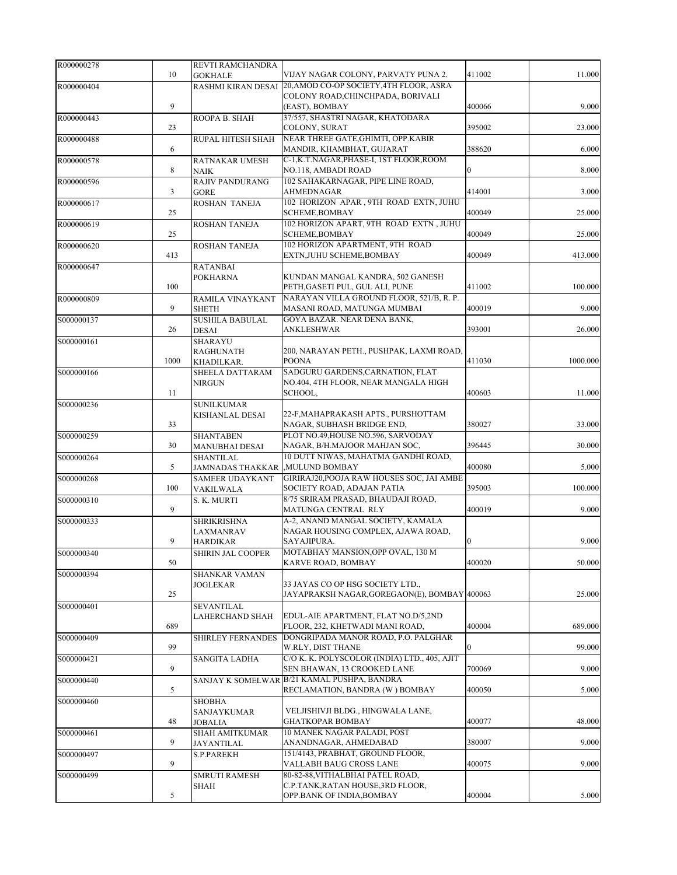| R000000278 |              | REVTI RAMCHANDRA                    |                                                                              |              |          |
|------------|--------------|-------------------------------------|------------------------------------------------------------------------------|--------------|----------|
|            | 10           | <b>GOKHALE</b>                      | VIJAY NAGAR COLONY, PARVATY PUNA 2.                                          | 411002       | 11.000   |
| R000000404 |              | RASHMI KIRAN DESAI                  | 20, AMOD CO-OP SOCIETY, 4TH FLOOR, ASRA<br>COLONY ROAD, CHINCHPADA, BORIVALI |              |          |
|            | 9            |                                     | (EAST), BOMBAY                                                               | 400066       | 9.000    |
| R000000443 |              | ROOPA B. SHAH                       | 37/557, SHASTRI NAGAR, KHATODARA                                             |              |          |
|            | 23           |                                     | COLONY, SURAT                                                                | 395002       | 23.000   |
| R000000488 |              | RUPAL HITESH SHAH                   | NEAR THREE GATE, GHIMTI, OPP.KABIR                                           |              |          |
| R000000578 | 6            | RATNAKAR UMESH                      | MANDIR, KHAMBHAT, GUJARAT<br>C-1, K.T.NAGAR, PHASE-I, 1ST FLOOR, ROOM        | 388620       | 6.000    |
|            | 8            | NAIK                                | NO.118, AMBADI ROAD                                                          | $\mathbf{0}$ | 8.000    |
| R000000596 |              | <b>RAJIV PANDURANG</b>              | 102 SAHAKARNAGAR, PIPE LINE ROAD,                                            |              |          |
|            | $\mathbf{3}$ | <b>GORE</b>                         | AHMEDNAGAR                                                                   | 414001       | 3.000    |
| R000000617 |              | ROSHAN TANEJA                       | 102 HORIZON APAR, 9TH ROAD EXTN, JUHU                                        |              |          |
|            | 25           |                                     | SCHEME, BOMBAY<br>102 HORIZON APART, 9TH ROAD EXTN, JUHU                     | 400049       | 25.000   |
| R000000619 | 25           | ROSHAN TANEJA                       | SCHEME, BOMBAY                                                               | 400049       | 25.000   |
| R000000620 |              | ROSHAN TANEJA                       | 102 HORIZON APARTMENT, 9TH ROAD                                              |              |          |
|            | 413          |                                     | EXTN, JUHU SCHEME, BOMBAY                                                    | 400049       | 413.000  |
| R000000647 |              | <b>RATANBAI</b>                     |                                                                              |              |          |
|            | 100          | <b>POKHARNA</b>                     | KUNDAN MANGAL KANDRA, 502 GANESH<br>PETH, GASETI PUL, GUL ALI, PUNE          | 411002       | 100.000  |
| R000000809 |              | RAMILA VINAYKANT                    | NARAYAN VILLA GROUND FLOOR, 521/B, R. P.                                     |              |          |
|            | 9            | <b>SHETH</b>                        | MASANI ROAD, MATUNGA MUMBAI                                                  | 400019       | 9.000    |
| S000000137 |              | <b>SUSHILA BABULAL</b>              | GOYA BAZAR. NEAR DENA BANK,                                                  |              |          |
|            | 26           | DESAI                               | ANKLESHWAR                                                                   | 393001       | 26.000   |
| S000000161 |              | <b>SHARAYU</b>                      | 200, NARAYAN PETH., PUSHPAK, LAXMI ROAD,                                     |              |          |
|            | 1000         | <b>RAGHUNATH</b><br>KHADILKAR.      | <b>POONA</b>                                                                 | 411030       | 1000.000 |
| S000000166 |              | SHEELA DATTARAM                     | SADGURU GARDENS, CARNATION, FLAT                                             |              |          |
|            |              | <b>NIRGUN</b>                       | NO.404, 4TH FLOOR, NEAR MANGALA HIGH                                         |              |          |
|            | 11           |                                     | SCHOOL,                                                                      | 400603       | 11.000   |
| S000000236 |              | <b>SUNILKUMAR</b>                   |                                                                              |              |          |
|            | 33           | <b>KISHANLAL DESAI</b>              | 22-F, MAHAPRAKASH APTS., PURSHOTTAM<br>NAGAR, SUBHASH BRIDGE END,            | 380027       | 33.000   |
| S000000259 |              | <b>SHANTABEN</b>                    | PLOT NO.49, HOUSE NO.596, SARVODAY                                           |              |          |
|            | 30           | <b>MANUBHAI DESAI</b>               | NAGAR, B/H.MAJOOR MAHJAN SOC,                                                | 396445       | 30.000   |
| S000000264 |              | <b>SHANTILAL</b>                    | 10 DUTT NIWAS, MAHATMA GANDHI ROAD,                                          |              |          |
|            | 5            | JAMNADAS THAKKAR                    | ,MULUND BOMBAY<br>GIRIRAJ20, POOJA RAW HOUSES SOC, JAI AMBE                  | 400080       | 5.000    |
| S000000268 | 100          | <b>SAMEER UDAYKANT</b><br>VAKILWALA | SOCIETY ROAD, ADAJAN PATIA                                                   | 395003       | 100.000  |
| S000000310 |              | S. K. MURTI                         | 8/75 SRIRAM PRASAD, BHAUDAJI ROAD,                                           |              |          |
|            | 9            |                                     | MATUNGA CENTRAL RLY                                                          | 400019       | 9.000    |
| S000000333 |              | SHRIKRISHNA                         | A-2, ANAND MANGAL SOCIETY, KAMALA                                            |              |          |
|            | 9            | <b>LAXMANRAV</b><br><b>HARDIKAR</b> | NAGAR HOUSING COMPLEX, AJAWA ROAD,<br>SAYAJIPURA.                            | $\Omega$     | 9.000    |
| S000000340 |              | <b>SHIRIN JAL COOPER</b>            | MOTABHAY MANSION, OPP OVAL, 130 M                                            |              |          |
|            | 50           |                                     | KARVE ROAD, BOMBAY                                                           | 400020       | 50.000   |
| S000000394 |              | <b>SHANKAR VAMAN</b>                |                                                                              |              |          |
|            |              | <b>JOGLEKAR</b>                     | 33 JAYAS CO OP HSG SOCIETY LTD.,                                             |              |          |
| S000000401 | 25           | <b>SEVANTILAL</b>                   | JAYAPRAKSH NAGAR, GOREGAON(E), BOMBAY 400063                                 |              | 25.000   |
|            |              | LAHERCHAND SHAH                     | EDUL-AIE APARTMENT, FLAT NO.D/5,2ND                                          |              |          |
|            | 689          |                                     | FLOOR, 232, KHETWADI MANI ROAD,                                              | 400004       | 689.000  |
| S000000409 |              | <b>SHIRLEY FERNANDES</b>            | DONGRIPADA MANOR ROAD, P.O. PALGHAR                                          |              |          |
|            | 99           |                                     | W.RLY, DIST THANE<br>C/O K. K. POLYSCOLOR (INDIA) LTD., 405, AJIT            | 0            | 99.000   |
| S000000421 | 9            | SANGITA LADHA                       | SEN BHAWAN, 13 CROOKED LANE                                                  | 700069       | 9.000    |
| S000000440 |              |                                     | SANJAY K SOMELWAR B/21 KAMAL PUSHPA, BANDRA                                  |              |          |
|            | 5            |                                     | RECLAMATION, BANDRA (W) BOMBAY                                               | 400050       | 5.000    |
| S000000460 |              | <b>SHOBHA</b>                       |                                                                              |              |          |
|            | 48           | SANJAYKUMAR                         | VELJISHIVJI BLDG., HINGWALA LANE,<br><b>GHATKOPAR BOMBAY</b>                 | 400077       | 48.000   |
| S000000461 |              | JOBALIA<br><b>SHAH AMITKUMAR</b>    | 10 MANEK NAGAR PALADI, POST                                                  |              |          |
|            | 9            | <b>JAYANTILAL</b>                   | ANANDNAGAR, AHMEDABAD                                                        | 380007       | 9.000    |
| S000000497 |              | S.P.PAREKH                          | 151/4143, PRABHAT, GROUND FLOOR,                                             |              |          |
|            | 9            |                                     | VALLABH BAUG CROSS LANE                                                      | 400075       | 9.000    |
| S000000499 |              | <b>SMRUTI RAMESH</b>                | 80-82-88, VITHALBHAI PATEL ROAD,                                             |              |          |
|            | 5            | <b>SHAH</b>                         | C.P.TANK, RATAN HOUSE, 3RD FLOOR,<br>OPP.BANK OF INDIA,BOMBAY                | 400004       | 5.000    |
|            |              |                                     |                                                                              |              |          |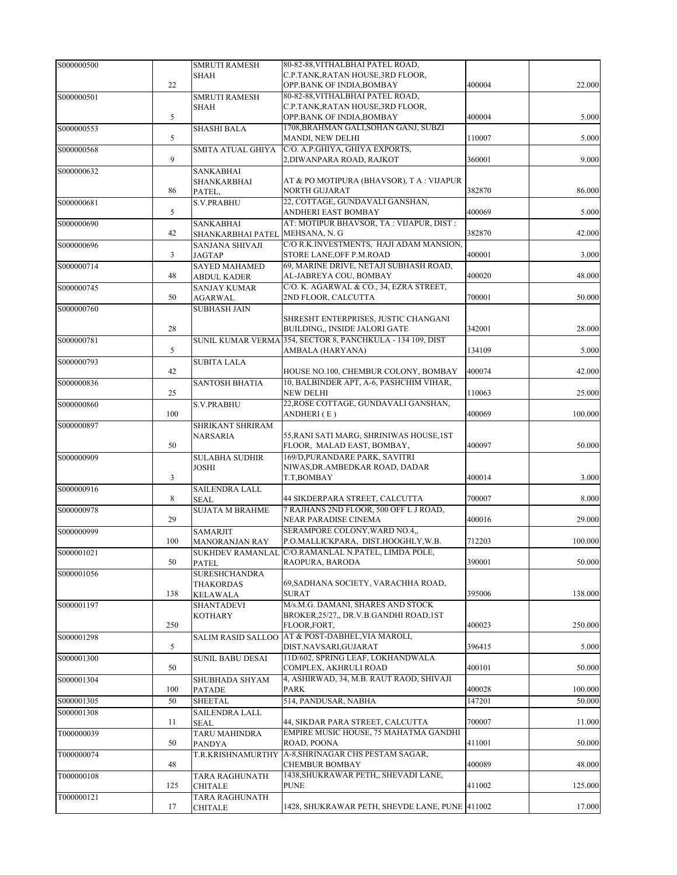| S000000500 |     | <b>SMRUTI RAMESH</b>        | 80-82-88, VITHALBHAI PATEL ROAD,                                                |        |         |
|------------|-----|-----------------------------|---------------------------------------------------------------------------------|--------|---------|
|            |     | <b>SHAH</b>                 | C.P.TANK, RATAN HOUSE, 3RD FLOOR,                                               |        |         |
|            | 22  |                             | OPP.BANK OF INDIA, BOMBAY                                                       | 400004 | 22.000  |
| S000000501 |     | <b>SMRUTI RAMESH</b>        | 80-82-88, VITHALBHAI PATEL ROAD,                                                |        |         |
|            |     | SHAH                        | C.P.TANK, RATAN HOUSE, 3RD FLOOR,                                               |        |         |
|            | 5   |                             | OPP.BANK OF INDIA, BOMBAY                                                       | 400004 | 5.000   |
| S000000553 |     | <b>SHASHI BALA</b>          | 1708, BRAHMAN GALI, SOHAN GANJ, SUBZI                                           |        |         |
|            | 5   |                             | MANDI, NEW DELHI                                                                | 110007 | 5.000   |
| S000000568 |     | SMITA ATUAL GHIYA           | C/O. A.P.GHIYA, GHIYA EXPORTS,                                                  |        |         |
|            | 9   |                             | 2, DIWANPARA ROAD, RAJKOT                                                       | 360001 | 9.000   |
| S000000632 |     | <b>SANKABHAI</b>            | AT & PO MOTIPURA (BHAVSOR), T A : VIJAPUR                                       |        |         |
|            | 86  | SHANKARBHAI                 | <b>NORTH GUJARAT</b>                                                            | 382870 | 86.000  |
| S000000681 |     | PATEL,<br><b>S.V.PRABHU</b> | 22, COTTAGE, GUNDAVALI GANSHAN,                                                 |        |         |
|            | 5   |                             | ANDHERI EAST BOMBAY                                                             | 400069 | 5.000   |
| S000000690 |     | <b>SANKABHAI</b>            | AT: MOTIPUR BHAVSOR, TA: VIJAPUR, DIST:                                         |        |         |
|            | 42  | SHANKARBHAI PATEL           | MEHSANA, N. G                                                                   | 382870 | 42.000  |
| S000000696 |     | SANJANA SHIVAJI             | C/O R.K.INVESTMENTS, HAJI ADAM MANSION,                                         |        |         |
|            | 3   | <b>JAGTAP</b>               | STORE LANE, OFF P.M.ROAD                                                        | 400001 | 3.000   |
| S000000714 |     | <b>SAYED MAHAMED</b>        | 69, MARINE DRIVE, NETAJI SUBHASH ROAD,                                          |        |         |
|            | 48  | <b>ABDUL KADER</b>          | AL-JABREYA COU, BOMBAY                                                          | 400020 | 48.000  |
| S000000745 |     | <b>SANJAY KUMAR</b>         | C/O. K. AGARWAL & CO., 34, EZRA STREET,                                         |        |         |
|            | 50  | <b>AGARWAL</b>              | 2ND FLOOR, CALCUTTA                                                             | 700001 | 50.000  |
| S000000760 |     | <b>SUBHASH JAIN</b>         |                                                                                 |        |         |
|            |     |                             | SHRESHT ENTERPRISES, JUSTIC CHANGANI                                            |        |         |
|            | 28  |                             | BUILDING,, INSIDE JALORI GATE                                                   | 342001 | 28.000  |
| S000000781 |     | <b>SUNIL KUMAR VERMA</b>    | 354, SECTOR 8, PANCHKULA - 134 109, DIST                                        |        |         |
|            | 5   |                             | AMBALA (HARYANA)                                                                | 134109 | 5.000   |
| S000000793 |     | <b>SUBITA LALA</b>          |                                                                                 |        | 42.000  |
|            | 42  |                             | HOUSE NO.100, CHEMBUR COLONY, BOMBAY<br>10, BALBINDER APT, A-6, PASHCHIM VIHAR, | 400074 |         |
| S000000836 | 25  | <b>SANTOSH BHATIA</b>       | <b>NEW DELHI</b>                                                                | 110063 | 25.000  |
| S000000860 |     | <b>S.V.PRABHU</b>           | 22, ROSE COTTAGE, GUNDAVALI GANSHAN,                                            |        |         |
|            | 100 |                             | ANDHERI (E)                                                                     | 400069 | 100.000 |
| S000000897 |     | SHRIKANT SHRIRAM            |                                                                                 |        |         |
|            |     | NARSARIA                    | 55, RANI SATI MARG, SHRINIWAS HOUSE, 1ST                                        |        |         |
|            | 50  |                             | FLOOR, MALAD EAST, BOMBAY,                                                      | 400097 | 50.000  |
| S000000909 |     | <b>SULABHA SUDHIR</b>       | 169/D, PURANDARE PARK, SAVITRI                                                  |        |         |
|            |     | <b>JOSHI</b>                | NIWAS, DR. AMBEDKAR ROAD, DADAR                                                 |        |         |
|            | 3   |                             | T.T,BOMBAY                                                                      | 400014 | 3.000   |
| S000000916 |     | SAILENDRA LALL              |                                                                                 |        |         |
|            | 8   | <b>SEAL</b>                 | 44 SIKDERPARA STREET, CALCUTTA                                                  | 700007 | 8.000   |
| S000000978 |     | <b>SUJATA M BRAHME</b>      | 7 RAJHANS 2ND FLOOR, 500 OFF L J ROAD,                                          |        |         |
|            | 29  |                             | NEAR PARADISE CINEMA                                                            | 400016 | 29.000  |
| S000000999 | 100 | <b>SAMARJIT</b>             | SERAMPORE COLONY, WARD NO.4,,<br>P.O.MALLICKPARA, DIST.HOOGHLY, W.B.            | 712203 | 100.000 |
|            |     | <b>MANORANJAN RAY</b>       | SUKHDEV RAMANLAL C/O.RAMANLAL N.PATEL, LIMDA POLE,                              |        |         |
| S000001021 | 50  | PATEL                       | RAOPURA, BARODA                                                                 | 390001 | 50.000  |
| S000001056 |     | <b>SURESHCHANDRA</b>        |                                                                                 |        |         |
|            |     | THAKORDAS                   | 69, SADHANA SOCIETY, VARACHHA ROAD,                                             |        |         |
|            | 138 | KELAWALA                    | <b>SURAT</b>                                                                    | 395006 | 138.000 |
| S000001197 |     | SHANTADEVI                  | M/s.M.G. DAMANI, SHARES AND STOCK                                               |        |         |
|            |     | <b>KOTHARY</b>              | BROKER, 25/27,, DR.V.B.GANDHI ROAD, 1ST                                         |        |         |
|            | 250 |                             | FLOOR, FORT,                                                                    | 400023 | 250.000 |
| S000001298 |     | <b>SALIM RASID SALLOO</b>   | AT & POST-DABHEL, VIA MAROLI,                                                   |        |         |
|            | 5   |                             | DIST.NAVSARI, GUJARAT                                                           | 396415 | 5.000   |
| S000001300 |     | <b>SUNIL BABU DESAI</b>     | 11D/602, SPRING LEAF, LOKHANDWALA                                               |        |         |
|            | 50  |                             | COMPLEX, AKHRULI ROAD                                                           | 400101 | 50.000  |
| S000001304 |     | SHUBHADA SHYAM              | 4, ASHIRWAD, 34, M.B. RAUT RAOD, SHIVAJI                                        |        |         |
|            | 100 | <b>PATADE</b>               | PARK                                                                            | 400028 | 100.000 |
| S000001305 | 50  | <b>SHEETAL</b>              | 514, PANDUSAR, NABHA                                                            | 147201 | 50.000  |
| S000001308 |     | SAILENDRA LALL              |                                                                                 |        |         |
|            | 11  | <b>SEAL</b>                 | 44, SIKDAR PARA STREET, CALCUTTA<br>EMPIRE MUSIC HOUSE, 75 MAHATMA GANDHI       | 700007 | 11.000  |
| T000000039 |     | TARU MAHINDRA               |                                                                                 | 411001 | 50.000  |
|            | 50  | PANDYA                      | ROAD, POONA<br>T.R.KRISHNAMURTHY A-8,SHRINAGAR CHS PESTAM SAGAR,                |        |         |
| T000000074 | 48  |                             | <b>CHEMBUR BOMBAY</b>                                                           | 400089 | 48.000  |
| T000000108 |     | TARA RAGHUNATH              | 1438, SHUKRAWAR PETH,, SHEVADI LANE,                                            |        |         |
|            | 125 | <b>CHITALE</b>              | <b>PUNE</b>                                                                     | 411002 | 125.000 |
| T000000121 |     | TARA RAGHUNATH              |                                                                                 |        |         |
|            | 17  | CHITALE                     | 1428, SHUKRAWAR PETH, SHEVDE LANE, PUNE 411002                                  |        | 17.000  |
|            |     |                             |                                                                                 |        |         |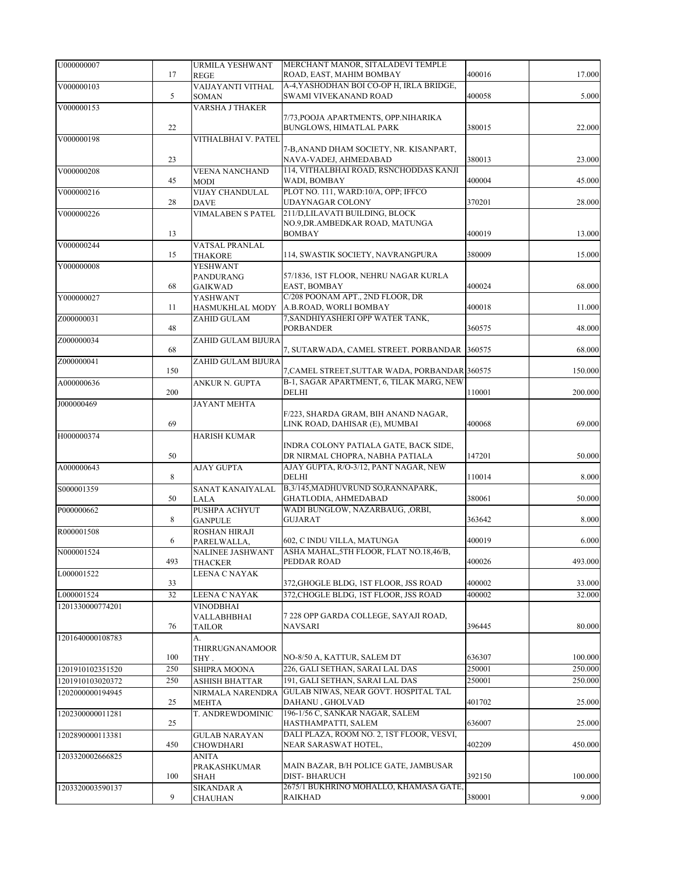| U000000007       | 17          | <b>URMILA YESHWANT</b><br><b>REGE</b> | MERCHANT MANOR, SITALADEVI TEMPLE<br>ROAD, EAST, MAHIM BOMBAY         | 400016 | 17.000  |
|------------------|-------------|---------------------------------------|-----------------------------------------------------------------------|--------|---------|
| V000000103       |             | VAIJAYANTI VITHAL                     | A-4, YASHODHAN BOI CO-OP H, IRLA BRIDGE,                              |        |         |
|                  | 5           | SOMAN                                 | SWAMI VIVEKANAND ROAD                                                 | 400058 | 5.000   |
| V000000153       |             | VARSHA J THAKER                       |                                                                       |        |         |
|                  |             |                                       | 7/73, POOJA APARTMENTS, OPP.NIHARIKA                                  |        |         |
|                  | 22          |                                       | BUNGLOWS, HIMATLAL PARK                                               | 380015 | 22.000  |
| V000000198       |             | VITHALBHAI V. PATEL                   |                                                                       |        |         |
|                  |             |                                       | 7-B, ANAND DHAM SOCIETY, NR. KISANPART,                               |        |         |
|                  | 23          |                                       | NAVA-VADEJ, AHMEDABAD                                                 | 380013 | 23.000  |
| V000000208       |             | <b>VEENA NANCHAND</b>                 | 114, VITHALBHAI ROAD, RSNCHODDAS KANJI                                |        |         |
|                  | 45          | <b>MODI</b>                           | WADI, BOMBAY                                                          | 400004 | 45.000  |
| V000000216       |             | <b>VIJAY CHANDULAL</b>                | PLOT NO. 111, WARD:10/A, OPP; IFFCO                                   |        |         |
|                  | 28          | <b>DAVE</b>                           | UDAYNAGAR COLONY                                                      | 370201 | 28.000  |
| V000000226       |             | <b>VIMALABEN S PATEL</b>              | 211/D,LILAVATI BUILDING, BLOCK                                        |        |         |
|                  | 13          |                                       | NO.9, DR. AMBEDKAR ROAD, MATUNGA<br><b>BOMBAY</b>                     | 400019 | 13.000  |
|                  |             |                                       |                                                                       |        |         |
| V000000244       | 15          | VATSAL PRANLAL<br><b>THAKORE</b>      | 114, SWASTIK SOCIETY, NAVRANGPURA                                     | 380009 | 15.000  |
| Y000000008       |             | <b>YESHWANT</b>                       |                                                                       |        |         |
|                  |             | PANDURANG                             | 57/1836, 1ST FLOOR, NEHRU NAGAR KURLA                                 |        |         |
|                  | 68          | <b>GAIKWAD</b>                        | EAST, BOMBAY                                                          | 400024 | 68.000  |
| Y000000027       |             | YASHWANT                              | C/208 POONAM APT., 2ND FLOOR, DR                                      |        |         |
|                  | 11          | HASMUKHLAL MODY                       | A.B.ROAD, WORLI BOMBAY                                                | 400018 | 11.000  |
| Z000000031       |             | ZAHID GULAM                           | 7, SANDHIYASHERI OPP WATER TANK,                                      |        |         |
|                  | 48          |                                       | <b>PORBANDER</b>                                                      | 360575 | 48.000  |
| Z000000034       |             | ZAHID GULAM BIJURA                    |                                                                       |        |         |
|                  | 68          |                                       | 7, SUTARWADA, CAMEL STREET. PORBANDAR                                 | 360575 | 68.000  |
| Z000000041       |             | ZAHID GULAM BIJURA                    |                                                                       |        |         |
|                  | 150         |                                       | 7, CAMEL STREET, SUTTAR WADA, PORBANDAR 360575                        |        | 150.000 |
| A000000636       |             | ANKUR N. GUPTA                        | B-1, SAGAR APARTMENT, 6, TILAK MARG, NEW                              |        |         |
|                  | 200         |                                       | DELHI                                                                 | 110001 | 200.000 |
| J000000469       |             | <b>JAYANT MEHTA</b>                   | F/223, SHARDA GRAM, BIH ANAND NAGAR,                                  |        |         |
|                  | 69          |                                       | LINK ROAD, DAHISAR (E), MUMBAI                                        | 400068 | 69.000  |
| H000000374       |             | <b>HARISH KUMAR</b>                   |                                                                       |        |         |
|                  |             |                                       | INDRA COLONY PATIALA GATE, BACK SIDE,                                 |        |         |
|                  | 50          |                                       | DR NIRMAL CHOPRA, NABHA PATIALA                                       | 147201 | 50.000  |
| A000000643       |             | <b>AJAY GUPTA</b>                     | AJAY GUPTA, R/O-3/12, PANT NAGAR, NEW                                 |        |         |
|                  | $\,$ 8 $\,$ |                                       | DELHI                                                                 | 110014 | 8.000   |
| S000001359       |             | SANAT KANAIYALAL                      | B,3/145, MADHUVRUND SO, RANNAPARK,                                    |        |         |
|                  | 50          | LALA                                  | GHATLODIA, AHMEDABAD                                                  | 380061 | 50.000  |
| P000000662       |             | PUSHPA ACHYUT                         | WADI BUNGLOW, NAZARBAUG, ,ORBI,                                       |        |         |
|                  | 8           | <b>GANPULE</b>                        | <b>GUJARAT</b>                                                        | 363642 | 8.000   |
| R000001508       |             | ROSHAN HIRAJI                         |                                                                       |        |         |
|                  | 6           | PARELWALLA,                           | 602, C INDU VILLA, MATUNGA<br>ASHA MAHAL, 5TH FLOOR, FLAT NO.18,46/B, | 400019 | 6.000   |
| N000001524       | 493         | NALINEE JASHWANT<br><b>THACKER</b>    | PEDDAR ROAD                                                           | 400026 | 493.000 |
| L000001522       |             | LEENA C NAYAK                         |                                                                       |        |         |
|                  | 33          |                                       | 372, GHOGLE BLDG, 1ST FLOOR, JSS ROAD                                 | 400002 | 33.000  |
| L000001524       | 32          | LEENA C NAYAK                         | 372, CHOGLE BLDG, 1ST FLOOR, JSS ROAD                                 | 400002 | 32.000  |
| 1201330000774201 |             | <b>VINODBHAI</b>                      |                                                                       |        |         |
|                  |             | VALLABHBHAI                           | 7 228 OPP GARDA COLLEGE, SAYAJI ROAD,                                 |        |         |
|                  | 76          | TAILOR                                | NAVSARI                                                               | 396445 | 80.000  |
| 1201640000108783 |             | A.                                    |                                                                       |        |         |
|                  |             | THIRRUGNANAMOOR                       |                                                                       |        |         |
|                  | 100         | THY.                                  | NO-8/50 A, KATTUR, SALEM DT                                           | 636307 | 100.000 |
| 1201910102351520 | 250         | SHIPRA MOONA                          | 226, GALI SETHAN, SARAI LAL DAS                                       | 250001 | 250.000 |
| 1201910103020372 | 250         | ASHISH BHATTAR                        | 191, GALI SETHAN, SARAI LAL DAS                                       | 250001 | 250.000 |
| 1202000000194945 |             | NIRMALA NARENDRA                      | GULAB NIWAS, NEAR GOVT. HOSPITAL TAL                                  |        |         |
|                  | 25          | <b>MEHTA</b>                          | DAHANU, GHOLVAD                                                       | 401702 | 25.000  |
| 1202300000011281 |             | T. ANDREWDOMINIC                      | 196-1/56 C, SANKAR NAGAR, SALEM                                       |        |         |
|                  | 25          |                                       | HASTHAMPATTI, SALEM<br>DALI PLAZA, ROOM NO. 2, 1ST FLOOR, VESVI,      | 636007 | 25.000  |
| 1202890000113381 | 450         | <b>GULAB NARAYAN</b><br>CHOWDHARI     | NEAR SARASWAT HOTEL,                                                  | 402209 | 450.000 |
| 1203320002666825 |             | ANITA                                 |                                                                       |        |         |
|                  |             | PRAKASHKUMAR                          | MAIN BAZAR, B/H POLICE GATE, JAMBUSAR                                 |        |         |
|                  | 100         | SHAH                                  | <b>DIST-BHARUCH</b>                                                   | 392150 | 100.000 |
| 1203320003590137 |             | SIKANDAR A                            | 2675/1 BUKHRINO MOHALLO, KHAMASA GATE,                                |        |         |
|                  | 9           | <b>CHAUHAN</b>                        | RAIKHAD                                                               | 380001 | 9.000   |
|                  |             |                                       |                                                                       |        |         |